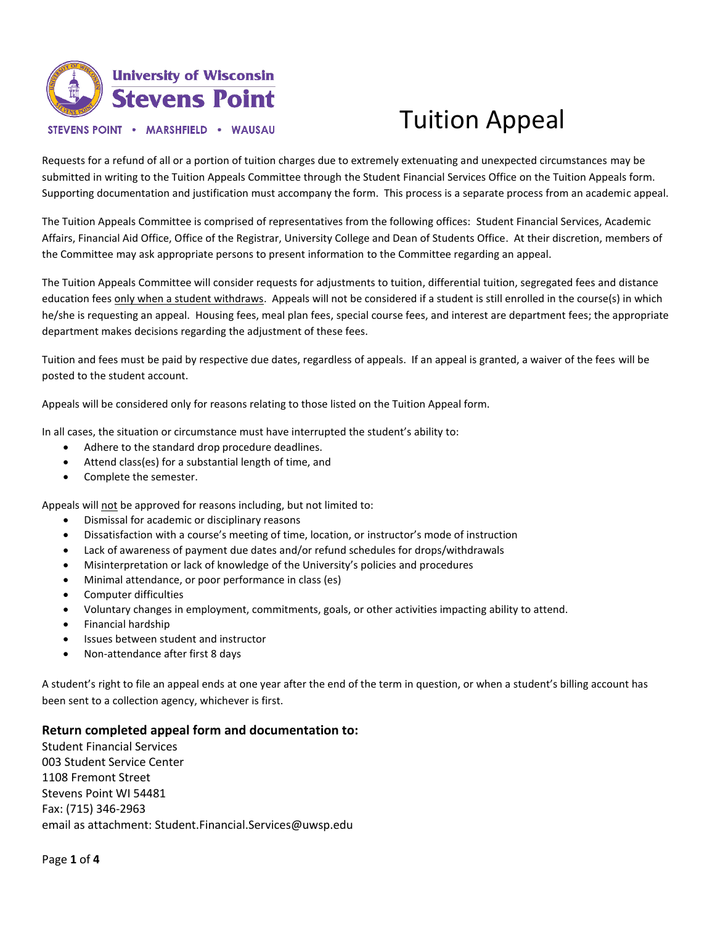

# Tuition Appeal

Requests for a refund of all or a portion of tuition charges due to extremely extenuating and unexpected circumstances may be submitted in writing to the Tuition Appeals Committee through the Student Financial Services Office on the Tuition Appeals form. Supporting documentation and justification must accompany the form. This process is a separate process from an academic appeal.

The Tuition Appeals Committee is comprised of representatives from the following offices: Student Financial Services, Academic Affairs, Financial Aid Office, Office of the Registrar, University College and Dean of Students Office. At their discretion, members of the Committee may ask appropriate persons to present information to the Committee regarding an appeal.

The Tuition Appeals Committee will consider requests for adjustments to tuition, differential tuition, segregated fees and distance education fees only when a student withdraws. Appeals will not be considered if a student is still enrolled in the course(s) in which he/she is requesting an appeal. Housing fees, meal plan fees, special course fees, and interest are department fees; the appropriate department makes decisions regarding the adjustment of these fees.

Tuition and fees must be paid by respective due dates, regardless of appeals. If an appeal is granted, a waiver of the fees will be posted to the student account.

Appeals will be considered only for reasons relating to those listed on the Tuition Appeal form.

In all cases, the situation or circumstance must have interrupted the student's ability to:

- Adhere to the standard drop procedure deadlines.
- Attend class(es) for a substantial length of time, and
- Complete the semester.

Appeals will not be approved for reasons including, but not limited to:

- Dismissal for academic or disciplinary reasons
- Dissatisfaction with a course's meeting of time, location, or instructor's mode of instruction
- Lack of awareness of payment due dates and/or refund schedules for drops/withdrawals
- Misinterpretation or lack of knowledge of the University's policies and procedures
- Minimal attendance, or poor performance in class (es)
- Computer difficulties
- Voluntary changes in employment, commitments, goals, or other activities impacting ability to attend.
- Financial hardship
- Issues between student and instructor
- Non-attendance after first 8 days

A student's right to file an appeal ends at one year after the end of the term in question, or when a student's billing account has been sent to a collection agency, whichever is first.

### **Return completed appeal form and documentation to:**

Student Financial Services 003 Student Service Center 1108 Fremont Street Stevens Point WI 54481 Fax: (715) 346-2963 email as attachment: Student.Financial.Services@uwsp.edu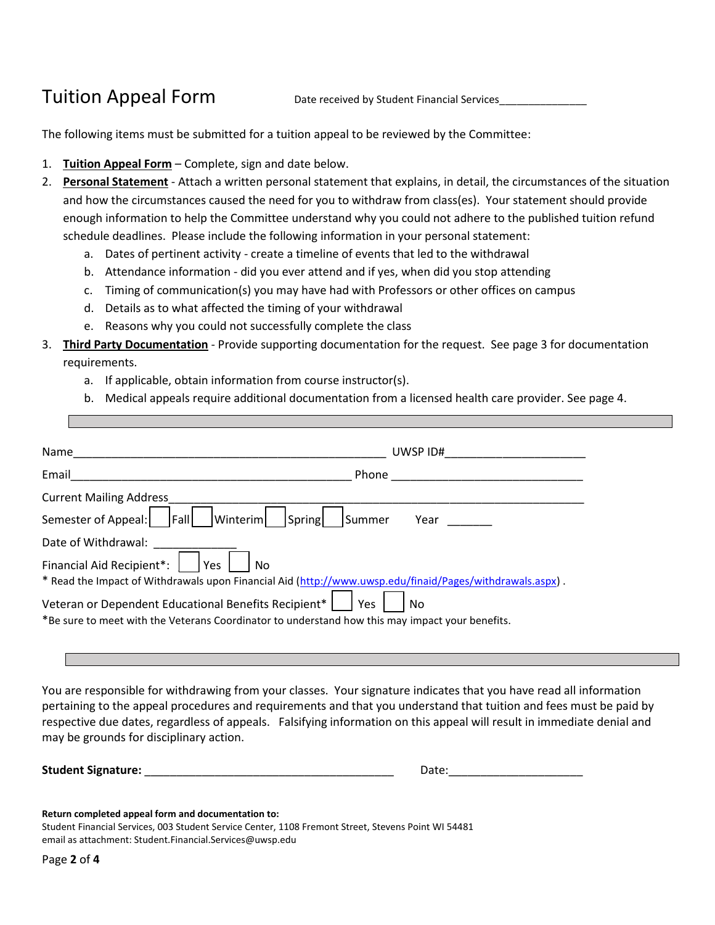### Tuition Appeal Form Date received by Student Financial Services

The following items must be submitted for a tuition appeal to be reviewed by the Committee:

- 1. **Tuition Appeal Form** Complete, sign and date below.
- 2. **Personal Statement** Attach a written personal statement that explains, in detail, the circumstances of the situation and how the circumstances caused the need for you to withdraw from class(es). Your statement should provide enough information to help the Committee understand why you could not adhere to the published tuition refund schedule deadlines. Please include the following information in your personal statement:
	- a. Dates of pertinent activity create a timeline of events that led to the withdrawal
	- b. Attendance information did you ever attend and if yes, when did you stop attending
	- c. Timing of communication(s) you may have had with Professors or other offices on campus
	- d. Details as to what affected the timing of your withdrawal
	- e. Reasons why you could not successfully complete the class
- 3. **Third Party Documentation** Provide supporting documentation for the request. See page 3 for documentation requirements.
	- a. If applicable, obtain information from course instructor(s).
	- b. Medical appeals require additional documentation from a licensed health care provider. See page 4.

| Name                                                 | UWSP ID#                                                                                                     |
|------------------------------------------------------|--------------------------------------------------------------------------------------------------------------|
| Email                                                | Phone                                                                                                        |
| <b>Current Mailing Address</b>                       |                                                                                                              |
| Semester of Appeal:<br>Fall                          | Winterim <br>Spring<br><b>Summer</b><br>Year                                                                 |
| Date of Withdrawal:                                  |                                                                                                              |
| Financial Aid Recipient*:                            | Yes<br>No.                                                                                                   |
|                                                      | * Read the Impact of Withdrawals upon Financial Aid (http://www.uwsp.edu/finaid/Pages/withdrawals.aspx).     |
| Veteran or Dependent Educational Benefits Recipient* | Yes<br>No<br>*Be sure to meet with the Veterans Coordinator to understand how this may impact your benefits. |

You are responsible for withdrawing from your classes. Your signature indicates that you have read all information pertaining to the appeal procedures and requirements and that you understand that tuition and fees must be paid by respective due dates, regardless of appeals. Falsifying information on this appeal will result in immediate denial and may be grounds for disciplinary action.

Student Signature: **with all and Student Signature**:

| Date: |
|-------|
|-------|

#### **Return completed appeal form and documentation to:**

Student Financial Services, 003 Student Service Center, 1108 Fremont Street, Stevens Point WI 54481 email as attachment: Student.Financial.Services@uwsp.edu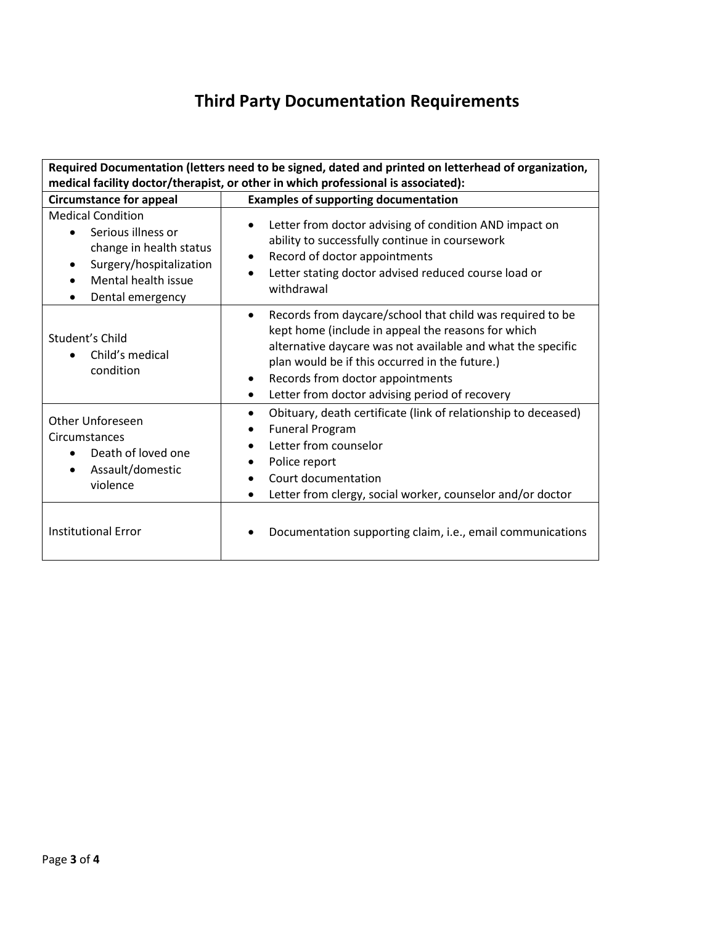## **Third Party Documentation Requirements**

| Required Documentation (letters need to be signed, dated and printed on letterhead of organization,                                                                                    |                                                                                                                                                                                                                                                                                                                                                               |  |  |  |  |  |
|----------------------------------------------------------------------------------------------------------------------------------------------------------------------------------------|---------------------------------------------------------------------------------------------------------------------------------------------------------------------------------------------------------------------------------------------------------------------------------------------------------------------------------------------------------------|--|--|--|--|--|
| medical facility doctor/therapist, or other in which professional is associated):                                                                                                      |                                                                                                                                                                                                                                                                                                                                                               |  |  |  |  |  |
| <b>Circumstance for appeal</b>                                                                                                                                                         | <b>Examples of supporting documentation</b>                                                                                                                                                                                                                                                                                                                   |  |  |  |  |  |
| <b>Medical Condition</b><br>Serious illness or<br>change in health status<br>Surgery/hospitalization<br>$\bullet$<br>Mental health issue<br>$\bullet$<br>Dental emergency<br>$\bullet$ | Letter from doctor advising of condition AND impact on<br>ability to successfully continue in coursework<br>Record of doctor appointments<br>$\bullet$<br>Letter stating doctor advised reduced course load or<br>withdrawal                                                                                                                                  |  |  |  |  |  |
| Student's Child<br>Child's medical<br>$\bullet$<br>condition                                                                                                                           | Records from daycare/school that child was required to be<br>$\bullet$<br>kept home (include in appeal the reasons for which<br>alternative daycare was not available and what the specific<br>plan would be if this occurred in the future.)<br>Records from doctor appointments<br>$\bullet$<br>Letter from doctor advising period of recovery<br>$\bullet$ |  |  |  |  |  |
| Other Unforeseen<br>Circumstances<br>Death of loved one<br>Assault/domestic<br>violence                                                                                                | Obituary, death certificate (link of relationship to deceased)<br>$\bullet$<br><b>Funeral Program</b><br>$\bullet$<br>Letter from counselor<br>Police report<br>$\bullet$<br>Court documentation<br>$\bullet$<br>Letter from clergy, social worker, counselor and/or doctor<br>$\bullet$                                                                      |  |  |  |  |  |
| <b>Institutional Error</b>                                                                                                                                                             | Documentation supporting claim, i.e., email communications                                                                                                                                                                                                                                                                                                    |  |  |  |  |  |